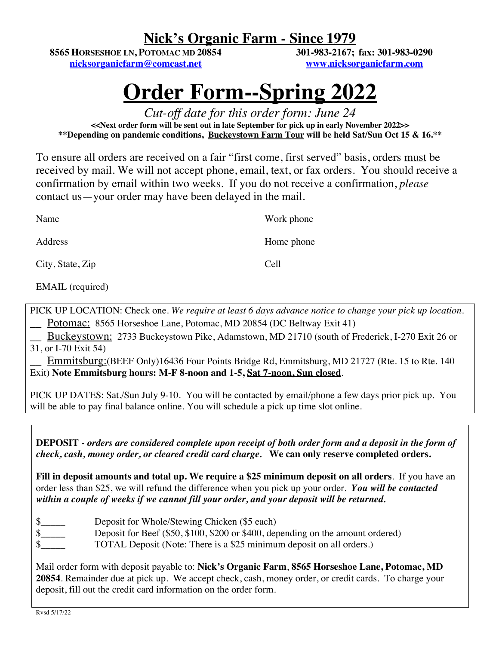# **Nick's Organic Farm - Since 1979**

**8565 HORSESHOE LN, POTOMAC MD 20854 nicksorganicfarm@comcast.net**

**301-983-2167; fax: 301-983-0290 www.nicksorganicfarm.com**

# **Order Form--Spring 2022**

*Cut-off date for this order form: June 24* **<<Next order form will be sent out in late September for pick up in early November 2022>> \*\*Depending on pandemic conditions, Buckeystown Farm Tour will be held Sat/Sun Oct 15 & 16.\*\***

To ensure all orders are received on a fair "first come, first served" basis, orders must be received by mail. We will not accept phone, email, text, or fax orders. You should receive a confirmation by email within two weeks. If you do not receive a confirmation, *please* contact us—your order may have been delayed in the mail.

| Name                    | Work phone |
|-------------------------|------------|
| Address                 | Home phone |
| City, State, Zip        | Cell       |
| <b>EMAIL</b> (required) |            |

PICK UP LOCATION: Check one. *We require at least 6 days advance notice to change your pick up location.* \_\_ Potomac: 8565 Horseshoe Lane, Potomac, MD 20854 (DC Beltway Exit 41)

\_\_ Buckeystown: 2733 Buckeystown Pike, Adamstown, MD 21710 (south of Frederick, I-270 Exit 26 or 31, or I-70 Exit 54)

Emmitsburg:(BEEF Only)16436 Four Points Bridge Rd, Emmitsburg, MD 21727 (Rte. 15 to Rte. 140) Exit) **Note Emmitsburg hours: M-F 8-noon and 1-5, Sat 7-noon, Sun closed**.

PICK UP DATES: Sat./Sun July 9-10. You will be contacted by email/phone a few days prior pick up. You will be able to pay final balance online. You will schedule a pick up time slot online.

**DEPOSIT -** *orders are considered complete upon receipt of both order form and a deposit in the form of check, cash, money order, or cleared credit card charge.* **We can only reserve completed orders.**

**Fill in deposit amounts and total up. We require a \$25 minimum deposit on all orders**. If you have an order less than \$25, we will refund the difference when you pick up your order.*You will be contacted within a couple of weeks if we cannot fill your order, and your deposit will be returned.*

- \$
- \$ Deposit for Beef (\$50, \$100, \$200 or \$400, depending on the amount ordered)
	- TOTAL Deposit (Note: There is a \$25 minimum deposit on all orders.)

Mail order form with deposit payable to: **Nick's Organic Farm**, **8565 Horseshoe Lane, Potomac, MD 20854**. Remainder due at pick up. We accept check, cash, money order, or credit cards. To charge your deposit, fill out the credit card information on the order form.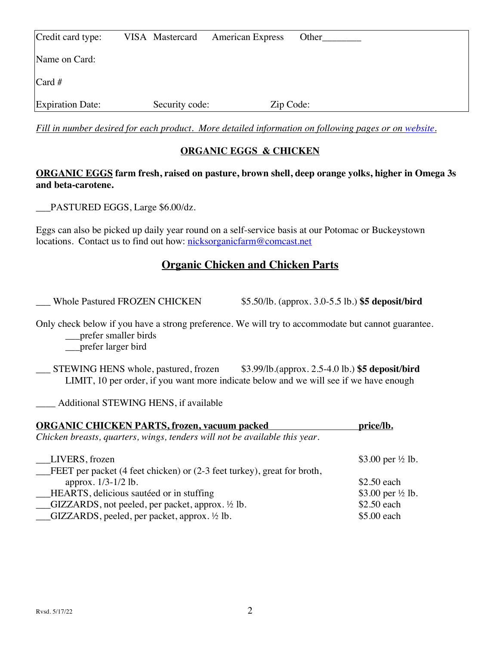| Credit card type:       | VISA Mastercard | <b>American Express</b> | Other |
|-------------------------|-----------------|-------------------------|-------|
| Name on Card:           |                 |                         |       |
| Card#                   |                 |                         |       |
| <b>Expiration Date:</b> | Security code:  | Zip Code:               |       |

*Fill in number desired for each product. More detailed information on following pages or on website.*

#### **ORGANIC EGGS & CHICKEN**

#### **ORGANIC EGGS farm fresh, raised on pasture, brown shell, deep orange yolks, higher in Omega 3s and beta-carotene.**

\_\_\_PASTURED EGGS, Large \$6.00/dz.

Eggs can also be picked up daily year round on a self-service basis at our Potomac or Buckeystown locations. Contact us to find out how: nicksorganicfarm@comcast.net

# **Organic Chicken and Chicken Parts**

\_\_\_ Whole Pastured FROZEN CHICKEN \$5.50/lb. (approx. 3.0-5.5 lb.) **\$5 deposit/bird**

Only check below if you have a strong preference. We will try to accommodate but cannot guarantee. \_\_\_prefer smaller birds

\_\_\_prefer larger bird

\_\_\_ STEWING HENS whole, pastured, frozen \$3.99/lb.(approx. 2.5-4.0 lb.) **\$5 deposit/bird** LIMIT, 10 per order, if you want more indicate below and we will see if we have enough

\_\_\_\_ Additional STEWING HENS, if available

| <b>ORGANIC CHICKEN PARTS, frozen, vacuum packed</b>                              | price/lb.                    |
|----------------------------------------------------------------------------------|------------------------------|
| Chicken breasts, quarters, wings, tenders will not be available this year.       |                              |
| LIVERS, frozen                                                                   | \$3.00 per $\frac{1}{2}$ lb. |
| <b>FEET</b> per packet (4 feet chicken) or $(2-3$ feet turkey), great for broth, |                              |
| approx. 1/3-1/2 lb.                                                              | \$2.50 each                  |
| HEARTS, delicious sautéed or in stuffing                                         | \$3.00 per ½ lb.             |
| $\Box$ GIZZARDS, not peeled, per packet, approx. $\frac{1}{2}$ lb.               | \$2.50 each                  |
| $\Box$ GIZZARDS, peeled, per packet, approx. ½ lb.                               | \$5.00 each                  |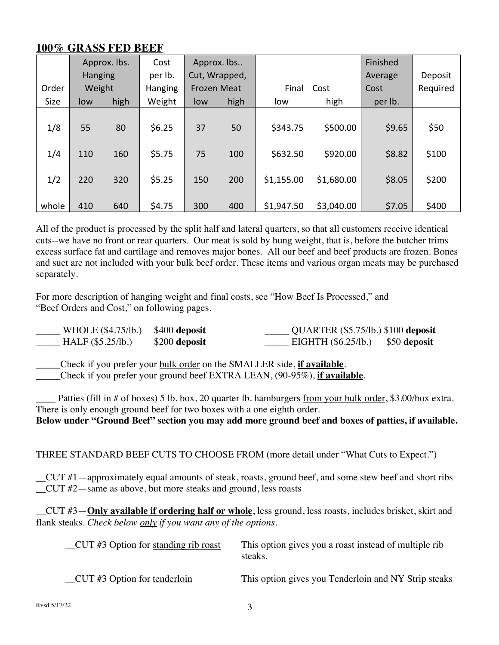# **100% GRASS FED BEEF**

|             |                | Approx. lbs. | Cost    |                    | Approx. lbs   |            |            | Finished |          |
|-------------|----------------|--------------|---------|--------------------|---------------|------------|------------|----------|----------|
|             | <b>Hanging</b> |              | per lb. |                    | Cut, Wrapped, |            |            | Average  | Deposit  |
| Order       | Weight         |              | Hanging | <b>Frozen Meat</b> |               | Final      | Cost       | Cost     | Required |
| <b>Size</b> | low            | high         | Weight  | low                | high          | low        | high       | per lb.  |          |
|             |                |              |         |                    |               |            |            |          |          |
| 1/8         | 55             | 80           | \$6.25  | 37                 | 50            | \$343.75   | \$500.00   | \$9.65   | \$50     |
|             |                |              |         |                    |               |            |            |          |          |
| 1/4         | 110            | 160          | \$5.75  | 75                 | 100           | \$632.50   | \$920.00   | \$8.82   | \$100    |
|             |                |              |         |                    |               |            |            |          |          |
| 1/2         | 220            | 320          | \$5.25  | 150                | 200           | \$1,155.00 | \$1,680.00 | \$8.05   | \$200    |
|             |                |              |         |                    |               |            |            |          |          |
| whole       | 410            | 640          | \$4.75  | 300                | 400           | \$1,947.50 | \$3,040.00 | \$7.05   | \$400    |

All of the product is processed by the split half and lateral quarters, so that all customers receive identical cuts--we have no front or rear quarters. Our meat is sold by hung weight, that is, before the butcher trims excess surface fat and cartilage and removes major bones. All our beef and beef products are frozen. Bones and suet are not included with your bulk beef order. These items and various organ meats may be purchased separately.

For more description of hanging weight and final costs, see "How Beef Is Processed," and "Beef Orders and Cost," on following pages.

| WHOLE $(\$4.75/lb.)$ $$400$ deposit |               | _______ QUARTER (\$5.75/lb.) \$100 deposit |  |
|-------------------------------------|---------------|--------------------------------------------|--|
| HALF (\$5.25/b.)                    | \$200 deposit | $EIGHTH ($6.25/lb.)$ \$50 deposit          |  |

\_\_\_\_\_Check if you prefer your bulk order on the SMALLER side, **if available**.

\_\_\_\_\_Check if you prefer your ground beef EXTRA LEAN, (90-95%), **if available**.

Patties (fill in # of boxes) 5 lb. box, 20 quarter lb. hamburgers from your bulk order, \$3.00/box extra. There is only enough ground beef for two boxes with a one eighth order.

**Below under "Ground Beef" section you may add more ground beef and boxes of patties, if available.**

#### THREE STANDARD BEEF CUTS TO CHOOSE FROM (more detail under "What Cuts to Expect.")

\_\_CUT #1—approximately equal amounts of steak, roasts, ground beef, and some stew beef and short ribs \_\_CUT #2—same as above, but more steaks and ground, less roasts

\_\_CUT #3—**Only available if ordering half or whole**, less ground, less roasts, includes brisket, skirt and flank steaks. *Check below only if you want any of the options.*

| $CUT$ #3 Option for standing rib roast | This option gives you a roast instead of multiple rib<br>steaks. |
|----------------------------------------|------------------------------------------------------------------|
| $CUT \#3$ Option for tenderloin        | This option gives you Tenderloin and NY Strip steaks             |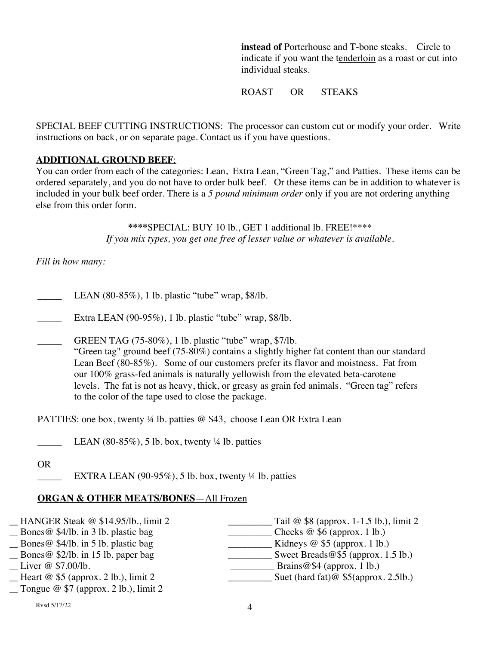**instead of** Porterhouse and T-bone steaks. Circle to indicate if you want the tenderloin as a roast or cut into individual steaks.

ROAST OR STEAKS

SPECIAL BEEF CUTTING INSTRUCTIONS: The processor can custom cut or modify your order. Write instructions on back, or on separate page. Contact us if you have questions.

#### **ADDITIONAL GROUND BEEF**:

You can order from each of the categories: Lean, Extra Lean, "Green Tag," and Patties. These items can be ordered separately, and you do not have to order bulk beef. Or these items can be in addition to whatever is included in your bulk beef order. There is a *5 pound minimum order* only if you are not ordering anything else from this order form.

> **\*\*\*\***SPECIAL: BUY 10 lb., GET 1 additional lb. FREE!\*\*\*\* *If you mix types, you get one free of lesser value or whatever is available.*

*Fill in how many:*

- LEAN  $(80-85\%)$ , 1 lb. plastic "tube" wrap, \$8/lb.
- Extra LEAN (90-95%), 1 lb. plastic "tube" wrap,  $$8/lb.$
- GREEN TAG (75-80%), 1 lb. plastic "tube" wrap, \$7/lb.

"Green tag" ground beef (75-80%) contains a slightly higher fat content than our standard Lean Beef (80-85%). Some of our customers prefer its flavor and moistness. Fat from our 100% grass-fed animals is naturally yellowish from the elevated beta-carotene levels. The fat is not as heavy, thick, or greasy as grain fed animals. "Green tag" refers to the color of the tape used to close the package.

PATTIES: one box, twenty ¼ lb. patties @ \$43, choose Lean OR Extra Lean

LEAN  $(80-85\%)$ , 5 lb. box, twenty ¼ lb. patties

OR

EXTRA LEAN (90-95%), 5 lb. box, twenty  $\frac{1}{4}$  lb. patties

#### **ORGAN & OTHER MEATS/BONES**—All Frozen

| Cheeks $@$ \$6 (approx. 1 lb.)          |
|-----------------------------------------|
|                                         |
| Kidneys $@$ \$5 (approx. 1 lb.)         |
| Sweet Breads@\$5 (approx. 1.5 lb.)      |
| Brains@\$4 (approx. 1 lb.)              |
| Suet (hard fat) $@$ \$5(approx. 2.5lb.) |
|                                         |
|                                         |

 $Rvsd 5/17/22$  4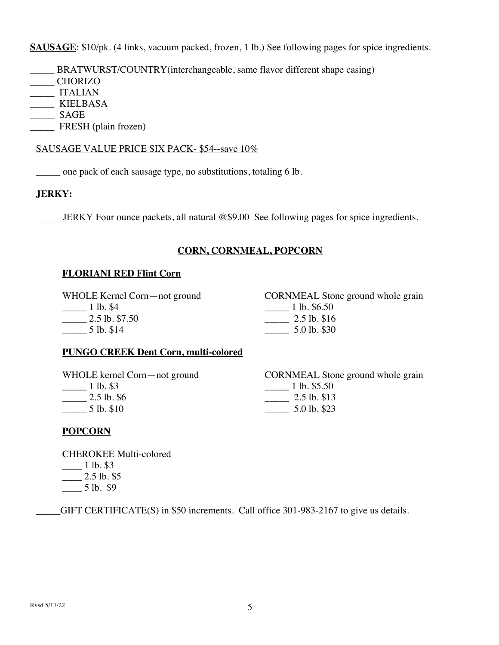**SAUSAGE**: \$10/pk. (4 links, vacuum packed, frozen, 1 lb.) See following pages for spice ingredients.

- \_\_\_\_\_ BRATWURST/COUNTRY(interchangeable, same flavor different shape casing)
- \_\_\_\_\_ CHORIZO
- \_\_\_\_\_ ITALIAN
- \_\_\_\_\_ KIELBASA
- \_\_\_\_\_ SAGE
- FRESH (plain frozen)

#### SAUSAGE VALUE PRICE SIX PACK- \$54--save 10%

one pack of each sausage type, no substitutions, totaling 6 lb.

#### **JERKY:**

JERKY Four ounce packets, all natural  $@$9.00$  See following pages for spice ingredients.

#### **CORN, CORNMEAL, POPCORN**

#### **FLORIANI RED Flint Corn**

WHOLE Kernel Corn—not ground \_\_\_\_\_ 1 lb. \$4  $\frac{2.5 \text{ lb. } $7.50}$ 

CORNMEAL Stone ground whole grain \_\_\_\_\_ 1 lb. \$6.50 \_\_\_\_\_ 2.5 lb. \$16 \_\_\_\_\_ 5.0 lb. \$30

#### **PUNGO CREEK Dent Corn, multi-colored**

WHOLE kernel Corn—not ground \_\_\_\_\_ 1 lb. \$3 \_\_\_\_\_ 2.5 lb. \$6  $\frac{1}{2}$  5 lb. \$10

CORNMEAL Stone ground whole grain  $\frac{1 \text{ lb. } $5.50}$  $\frac{2.5 \text{ lb. } $13}{2.5 \text{ lb. } $13}$ \_\_\_\_\_ 5.0 lb. \$23

#### **POPCORN**

\_\_\_\_\_ 5 lb. \$14

CHEROKEE Multi-colored \_\_\_\_ 1 lb. \$3  $\_\_$  2.5 lb. \$5

 $-$  5 lb. \$9

\_\_\_\_\_GIFT CERTIFICATE(S) in \$50 increments. Call office 301-983-2167 to give us details.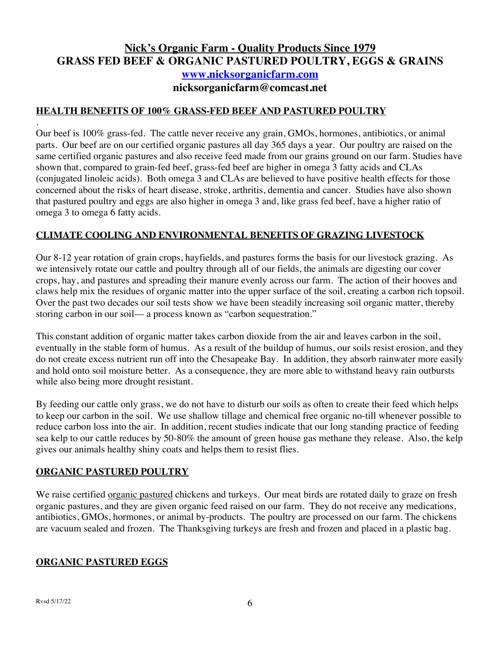# **Nick's Organic Farm - Quality Products Since 1979 GRASS FED BEEF & ORGANIC PASTURED POULTRY, EGGS & GRAINS www.nicksorganicfarm.com nicksorganicfarm@comcast.net**

#### **HEALTH BENEFITS OF 100% GRASS-FED BEEF AND PASTURED POULTRY**

. Our beef is 100% grass-fed. The cattle never receive any grain, GMOs, hormones, antibiotics, or animal parts. Our beef are on our certified organic pastures all day 365 days a year. Our poultry are raised on the same certified organic pastures and also receive feed made from our grains ground on our farm. Studies have shown that, compared to grain-fed beef, grass-fed beef are higher in omega 3 fatty acids and CLAs (conjugated linoleic acids). Both omega 3 and CLAs are believed to have positive health effects for those concerned about the risks of heart disease, stroke, arthritis, dementia and cancer. Studies have also shown that pastured poultry and eggs are also higher in omega 3 and, like grass fed beef, have a higher ratio of omega 3 to omega 6 fatty acids.

#### **CLIMATE COOLING AND ENVIRONMENTAL BENEFITS OF GRAZING LIVESTOCK**

Our 8-12 year rotation of grain crops, hayfields, and pastures forms the basis for our livestock grazing. As we intensively rotate our cattle and poultry through all of our fields, the animals are digesting our cover crops, hay, and pastures and spreading their manure evenly across our farm. The action of their hooves and claws help mix the residues of organic matter into the upper surface of the soil, creating a carbon rich topsoil. Over the past two decades our soil tests show we have been steadily increasing soil organic matter, thereby storing carbon in our soil–– a process known as "carbon sequestration."

This constant addition of organic matter takes carbon dioxide from the air and leaves carbon in the soil, eventually in the stable form of humus. As a result of the buildup of humus, our soils resist erosion, and they do not create excess nutrient run off into the Chesapeake Bay. In addition, they absorb rainwater more easily and hold onto soil moisture better. As a consequence, they are more able to withstand heavy rain outbursts while also being more drought resistant.

By feeding our cattle only grass, we do not have to disturb our soils as often to create their feed which helps to keep our carbon in the soil. We use shallow tillage and chemical free organic no-till whenever possible to reduce carbon loss into the air. In addition, recent studies indicate that our long standing practice of feeding sea kelp to our cattle reduces by 50-80% the amount of green house gas methane they release. Also, the kelp gives our animals healthy shiny coats and helps them to resist flies.

#### **ORGANIC PASTURED POULTRY**

We raise certified organic pastured chickens and turkeys. Our meat birds are rotated daily to graze on fresh organic pastures, and they are given organic feed raised on our farm. They do not receive any medications, antibiotics, GMOs, hormones, or animal by-products. The poultry are processed on our farm. The chickens are vacuum sealed and frozen. The Thanksgiving turkeys are fresh and frozen and placed in a plastic bag.

#### **ORGANIC PASTURED EGGS**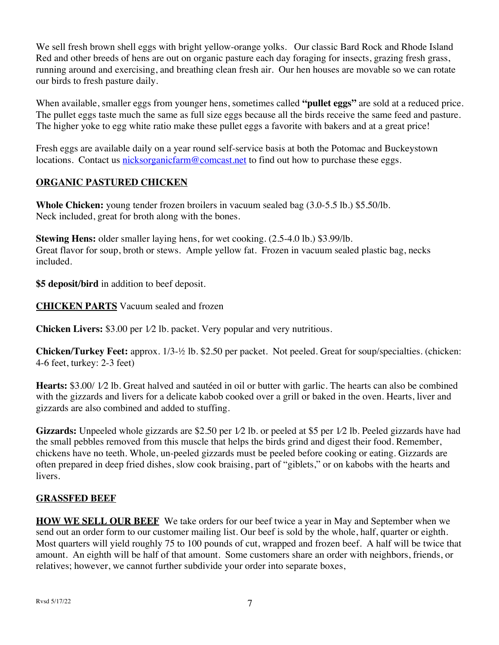We sell fresh brown shell eggs with bright yellow-orange yolks. Our classic Bard Rock and Rhode Island Red and other breeds of hens are out on organic pasture each day foraging for insects, grazing fresh grass, running around and exercising, and breathing clean fresh air. Our hen houses are movable so we can rotate our birds to fresh pasture daily.

When available, smaller eggs from younger hens, sometimes called **"pullet eggs"** are sold at a reduced price. The pullet eggs taste much the same as full size eggs because all the birds receive the same feed and pasture. The higher yoke to egg white ratio make these pullet eggs a favorite with bakers and at a great price!

Fresh eggs are available daily on a year round self-service basis at both the Potomac and Buckeystown locations. Contact us nicksorganicfarm@comcast.net to find out how to purchase these eggs.

# **ORGANIC PASTURED CHICKEN**

**Whole Chicken:** young tender frozen broilers in vacuum sealed bag (3.0-5.5 lb.) \$5.50/lb. Neck included, great for broth along with the bones.

**Stewing Hens:** older smaller laying hens, for wet cooking. (2.5-4.0 lb.) \$3.99/lb. Great flavor for soup, broth or stews. Ample yellow fat. Frozen in vacuum sealed plastic bag, necks included.

**\$5 deposit/bird** in addition to beef deposit.

**CHICKEN PARTS** Vacuum sealed and frozen

**Chicken Livers:** \$3.00 per 1⁄2 lb. packet. Very popular and very nutritious.

**Chicken/Turkey Feet:** approx. 1/3-½ lb. \$2.50 per packet. Not peeled. Great for soup/specialties. (chicken: 4-6 feet, turkey: 2-3 feet)

**Hearts:** \$3.00/ 1⁄2 lb. Great halved and sautéed in oil or butter with garlic. The hearts can also be combined with the gizzards and livers for a delicate kabob cooked over a grill or baked in the oven. Hearts, liver and gizzards are also combined and added to stuffing.

Gizzards: Unpeeled whole gizzards are \$2.50 per 1/2 lb. or peeled at \$5 per 1/2 lb. Peeled gizzards have had the small pebbles removed from this muscle that helps the birds grind and digest their food. Remember, chickens have no teeth. Whole, un-peeled gizzards must be peeled before cooking or eating. Gizzards are often prepared in deep fried dishes, slow cook braising, part of "giblets," or on kabobs with the hearts and livers.

#### **GRASSFED BEEF**

**HOW WE SELL OUR BEEF** We take orders for our beef twice a year in May and September when we send out an order form to our customer mailing list. Our beef is sold by the whole, half, quarter or eighth. Most quarters will yield roughly 75 to 100 pounds of cut, wrapped and frozen beef. A half will be twice that amount. An eighth will be half of that amount. Some customers share an order with neighbors, friends, or relatives; however, we cannot further subdivide your order into separate boxes,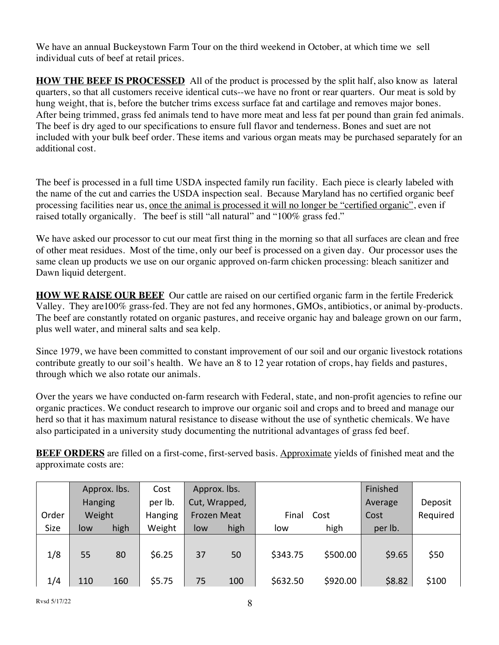We have an annual Buckeystown Farm Tour on the third weekend in October, at which time we sell individual cuts of beef at retail prices.

**HOW THE BEEF IS PROCESSED** All of the product is processed by the split half, also know as lateral quarters, so that all customers receive identical cuts--we have no front or rear quarters. Our meat is sold by hung weight, that is, before the butcher trims excess surface fat and cartilage and removes major bones. After being trimmed, grass fed animals tend to have more meat and less fat per pound than grain fed animals. The beef is dry aged to our specifications to ensure full flavor and tenderness. Bones and suet are not included with your bulk beef order. These items and various organ meats may be purchased separately for an additional cost.

The beef is processed in a full time USDA inspected family run facility. Each piece is clearly labeled with the name of the cut and carries the USDA inspection seal. Because Maryland has no certified organic beef processing facilities near us, once the animal is processed it will no longer be "certified organic", even if raised totally organically. The beef is still "all natural" and "100% grass fed."

We have asked our processor to cut our meat first thing in the morning so that all surfaces are clean and free of other meat residues. Most of the time, only our beef is processed on a given day. Our processor uses the same clean up products we use on our organic approved on-farm chicken processing: bleach sanitizer and Dawn liquid detergent.

**HOW WE RAISE OUR BEEF** Our cattle are raised on our certified organic farm in the fertile Frederick Valley. They are100% grass-fed. They are not fed any hormones, GMOs, antibiotics, or animal by-products. The beef are constantly rotated on organic pastures, and receive organic hay and baleage grown on our farm, plus well water, and mineral salts and sea kelp.

Since 1979, we have been committed to constant improvement of our soil and our organic livestock rotations contribute greatly to our soil's health. We have an 8 to 12 year rotation of crops, hay fields and pastures, through which we also rotate our animals.

Over the years we have conducted on-farm research with Federal, state, and non-profit agencies to refine our organic practices. We conduct research to improve our organic soil and crops and to breed and manage our herd so that it has maximum natural resistance to disease without the use of synthetic chemicals. We have also participated in a university study documenting the nutritional advantages of grass fed beef.

**BEEF ORDERS** are filled on a first-come, first-served basis. Approximate yields of finished meat and the approximate costs are:

|       |         | Approx. lbs. | Cost    | Approx. lbs.       |               |          |          | Finished |          |
|-------|---------|--------------|---------|--------------------|---------------|----------|----------|----------|----------|
|       | Hanging |              | per lb. |                    | Cut, Wrapped, |          |          | Average  | Deposit  |
| Order | Weight  |              | Hanging | <b>Frozen Meat</b> |               | Final    | Cost     | Cost     | Required |
| Size  | low     | high         | Weight  | low                | high          | low      | high     | per lb.  |          |
| 1/8   | 55      | 80           | \$6.25  | 37                 | 50            | \$343.75 | \$500.00 | \$9.65   | \$50     |
| 1/4   | 110     | 160          | \$5.75  | 75                 | 100           | \$632.50 | \$920.00 | \$8.82   | \$100    |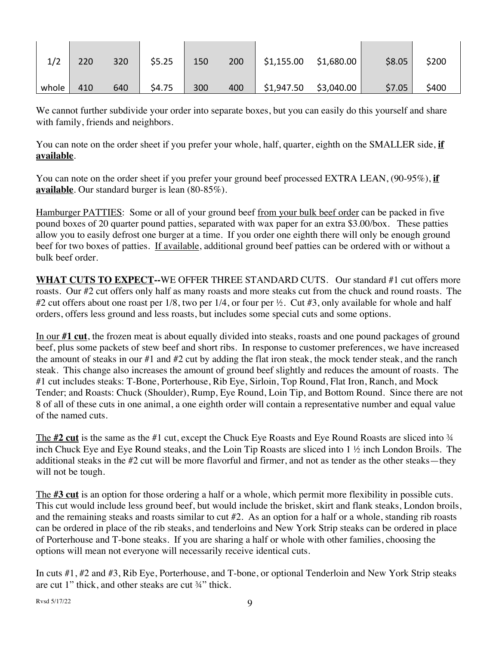|       | 220 | 320 | \$5.25 | 150 | 200 | \$1,155.00 | \$1,680.00 | \$8.05 | \$200 |
|-------|-----|-----|--------|-----|-----|------------|------------|--------|-------|
| whole | 410 | 640 | \$4.75 | 300 | 400 | \$1,947.50 | \$3,040.00 | \$7.05 | \$400 |

We cannot further subdivide your order into separate boxes, but you can easily do this yourself and share with family, friends and neighbors.

You can note on the order sheet if you prefer your whole, half, quarter, eighth on the SMALLER side, **if available**.

You can note on the order sheet if you prefer your ground beef processed EXTRA LEAN, (90-95%), **if available**. Our standard burger is lean (80-85%).

Hamburger PATTIES: Some or all of your ground beef from your bulk beef order can be packed in five pound boxes of 20 quarter pound patties, separated with wax paper for an extra \$3.00/box. These patties allow you to easily defrost one burger at a time. If you order one eighth there will only be enough ground beef for two boxes of patties. If available, additional ground beef patties can be ordered with or without a bulk beef order.

**WHAT CUTS TO EXPECT--**WE OFFER THREE STANDARD CUTS. Our standard #1 cut offers more roasts. Our #2 cut offers only half as many roasts and more steaks cut from the chuck and round roasts. The #2 cut offers about one roast per 1/8, two per 1/4, or four per ½. Cut #3, only available for whole and half orders, offers less ground and less roasts, but includes some special cuts and some options.

In our **#1 cut**, the frozen meat is about equally divided into steaks, roasts and one pound packages of ground beef, plus some packets of stew beef and short ribs. In response to customer preferences, we have increased the amount of steaks in our #1 and #2 cut by adding the flat iron steak, the mock tender steak, and the ranch steak. This change also increases the amount of ground beef slightly and reduces the amount of roasts. The #1 cut includes steaks: T-Bone, Porterhouse, Rib Eye, Sirloin, Top Round, Flat Iron, Ranch, and Mock Tender; and Roasts: Chuck (Shoulder), Rump, Eye Round, Loin Tip, and Bottom Round. Since there are not 8 of all of these cuts in one animal, a one eighth order will contain a representative number and equal value of the named cuts.

The **#2 cut** is the same as the #1 cut, except the Chuck Eye Roasts and Eye Round Roasts are sliced into <sup>3</sup>/4 inch Chuck Eye and Eye Round steaks, and the Loin Tip Roasts are sliced into 1 ½ inch London Broils. The additional steaks in the #2 cut will be more flavorful and firmer, and not as tender as the other steaks—they will not be tough.

The **#3 cut** is an option for those ordering a half or a whole, which permit more flexibility in possible cuts. This cut would include less ground beef, but would include the brisket, skirt and flank steaks, London broils, and the remaining steaks and roasts similar to cut #2. As an option for a half or a whole, standing rib roasts can be ordered in place of the rib steaks, and tenderloins and New York Strip steaks can be ordered in place of Porterhouse and T-bone steaks. If you are sharing a half or whole with other families, choosing the options will mean not everyone will necessarily receive identical cuts.

In cuts #1, #2 and #3, Rib Eye, Porterhouse, and T-bone, or optional Tenderloin and New York Strip steaks are cut 1" thick, and other steaks are cut ¾" thick.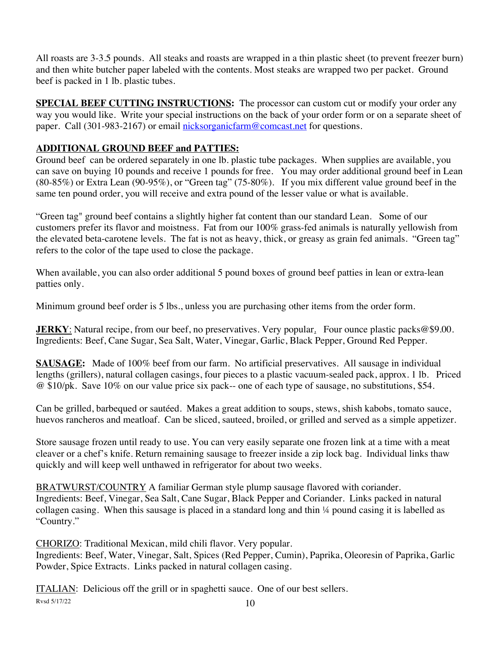All roasts are 3-3.5 pounds. All steaks and roasts are wrapped in a thin plastic sheet (to prevent freezer burn) and then white butcher paper labeled with the contents. Most steaks are wrapped two per packet. Ground beef is packed in 1 lb. plastic tubes.

**SPECIAL BEEF CUTTING INSTRUCTIONS:** The processor can custom cut or modify your order any way you would like. Write your special instructions on the back of your order form or on a separate sheet of paper. Call (301-983-2167) or email nicksorganicfarm@comcast.net for questions.

# **ADDITIONAL GROUND BEEF and PATTIES:**

Ground beef can be ordered separately in one lb. plastic tube packages. When supplies are available, you can save on buying 10 pounds and receive 1 pounds for free. You may order additional ground beef in Lean (80-85%) or Extra Lean (90-95%), or "Green tag" (75-80%). If you mix different value ground beef in the same ten pound order, you will receive and extra pound of the lesser value or what is available.

"Green tag" ground beef contains a slightly higher fat content than our standard Lean. Some of our customers prefer its flavor and moistness. Fat from our 100% grass-fed animals is naturally yellowish from the elevated beta-carotene levels. The fat is not as heavy, thick, or greasy as grain fed animals. "Green tag" refers to the color of the tape used to close the package.

When available, you can also order additional 5 pound boxes of ground beef patties in lean or extra-lean patties only.

Minimum ground beef order is 5 lbs., unless you are purchasing other items from the order form.

**JERKY**: Natural recipe, from our beef, no preservatives. Very popular. Four ounce plastic packs@\$9.00. Ingredients: Beef, Cane Sugar, Sea Salt, Water, Vinegar, Garlic, Black Pepper, Ground Red Pepper.

**SAUSAGE:** Made of 100% beef from our farm. No artificial preservatives. All sausage in individual lengths (grillers), natural collagen casings, four pieces to a plastic vacuum-sealed pack, approx. 1 lb. Priced @ \$10/pk. Save 10% on our value price six pack-- one of each type of sausage, no substitutions, \$54.

Can be grilled, barbequed or sautéed. Makes a great addition to soups, stews, shish kabobs, tomato sauce, huevos rancheros and meatloaf. Can be sliced, sauteed, broiled, or grilled and served as a simple appetizer.

Store sausage frozen until ready to use. You can very easily separate one frozen link at a time with a meat cleaver or a chef's knife. Return remaining sausage to freezer inside a zip lock bag. Individual links thaw quickly and will keep well unthawed in refrigerator for about two weeks.

BRATWURST/COUNTRY A familiar German style plump sausage flavored with coriander. Ingredients: Beef, Vinegar, Sea Salt, Cane Sugar, Black Pepper and Coriander. Links packed in natural collagen casing. When this sausage is placed in a standard long and thin ¼ pound casing it is labelled as "Country."

CHORIZO: Traditional Mexican, mild chili flavor. Very popular. Ingredients: Beef, Water, Vinegar, Salt, Spices (Red Pepper, Cumin), Paprika, Oleoresin of Paprika, Garlic Powder, Spice Extracts. Links packed in natural collagen casing.

 $\frac{8}{3}$  Rvsd 5/17/22 10 ITALIAN: Delicious off the grill or in spaghetti sauce. One of our best sellers.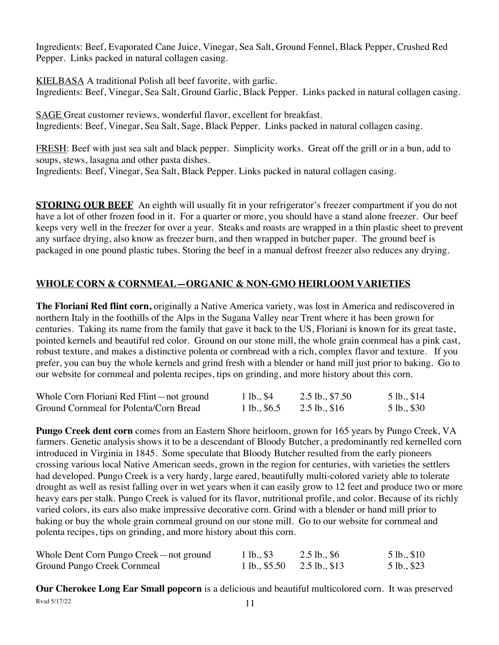Ingredients: Beef, Evaporated Cane Juice, Vinegar, Sea Salt, Ground Fennel, Black Pepper, Crushed Red Pepper. Links packed in natural collagen casing.

KIELBASA A traditional Polish all beef favorite, with garlic. Ingredients: Beef, Vinegar, Sea Salt, Ground Garlic, Black Pepper. Links packed in natural collagen casing.

SAGE Great customer reviews, wonderful flavor, excellent for breakfast. Ingredients: Beef, Vinegar, Sea Salt, Sage, Black Pepper. Links packed in natural collagen casing.

FRESH: Beef with just sea salt and black pepper. Simplicity works. Great off the grill or in a bun, add to soups, stews, lasagna and other pasta dishes.

Ingredients: Beef, Vinegar, Sea Salt, Black Pepper. Links packed in natural collagen casing.

**STORING OUR BEEF** An eighth will usually fit in your refrigerator's freezer compartment if you do not have a lot of other frozen food in it. For a quarter or more, you should have a stand alone freezer. Our beef keeps very well in the freezer for over a year. Steaks and roasts are wrapped in a thin plastic sheet to prevent any surface drying, also know as freezer burn, and then wrapped in butcher paper. The ground beef is packaged in one pound plastic tubes. Storing the beef in a manual defrost freezer also reduces any drying.

# **WHOLE CORN & CORNMEAL—ORGANIC & NON-GMO HEIRLOOM VARIETIES**

**The Floriani Red flint corn,** originally a Native America variety, was lost in America and rediscovered in northern Italy in the foothills of the Alps in the Sugana Valley near Trent where it has been grown for centuries. Taking its name from the family that gave it back to the US, Floriani is known for its great taste, pointed kernels and beautiful red color. Ground on our stone mill, the whole grain cornmeal has a pink cast, robust texture, and makes a distinctive polenta or cornbread with a rich, complex flavor and texture. If you prefer, you can buy the whole kernels and grind fresh with a blender or hand mill just prior to baking. Go to our website for cornmeal and polenta recipes, tips on grinding, and more history about this corn.

| Whole Corn Floriani Red Flint—not ground | 1 lb., \$4    | $2.5$ lb., \$7.50 | 5 lb., \$14 |
|------------------------------------------|---------------|-------------------|-------------|
| Ground Cornmeal for Polenta/Corn Bread   | 1 lb., $$6.5$ | $2.5$ lb., \$16   | 5 lb., \$30 |

**Pungo Creek dent corn** comes from an Eastern Shore heirloom, grown for 165 years by Pungo Creek, VA farmers. Genetic analysis shows it to be a descendant of Bloody Butcher, a predominantly red kernelled corn introduced in Virginia in 1845. Some speculate that Bloody Butcher resulted from the early pioneers crossing various local Native American seeds, grown in the region for centuries, with varieties the settlers had developed. Pungo Creek is a very hardy, large eared, beautifully multi-colored variety able to tolerate drought as well as resist falling over in wet years when it can easily grow to 12 feet and produce two or more heavy ears per stalk. Pungo Creek is valued for its flavor, nutritional profile, and color. Because of its richly varied colors, its ears also make impressive decorative corn. Grind with a blender or hand mill prior to baking or buy the whole grain cornmeal ground on our stone mill. Go to our website for cornmeal and polenta recipes, tips on grinding, and more history about this corn.

| Whole Dent Corn Pungo Creek—not ground | 1 lb., \$3                   | $2.5$ lb., \$6 | 5 lb., \$10 |
|----------------------------------------|------------------------------|----------------|-------------|
| Ground Pungo Creek Cornmeal            | 1 lb., $$5.50$ 2.5 lb., \$13 |                | 5 lb., \$23 |

 $Rvsd 5/17/22$  11 **Our Cherokee Long Ear Small popcorn** is a delicious and beautiful multicolored corn. It was preserved